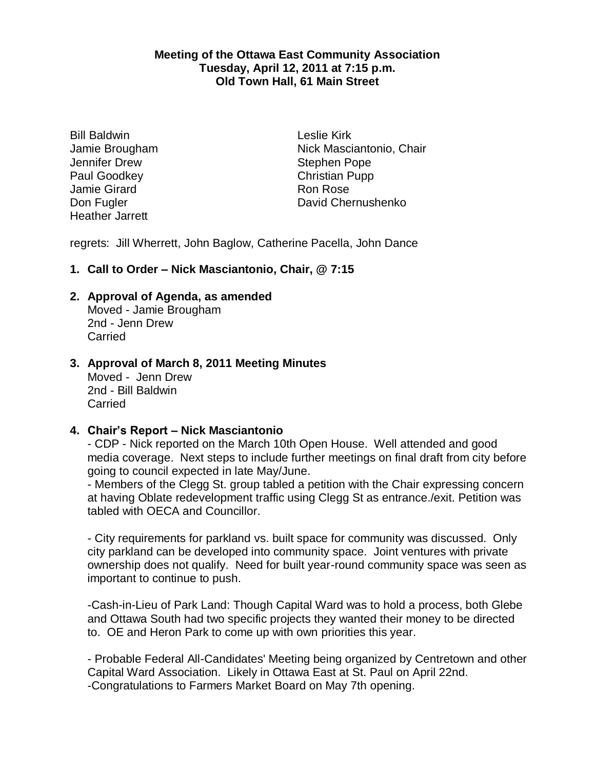### **Meeting of the Ottawa East Community Association Tuesday, April 12, 2011 at 7:15 p.m. Old Town Hall, 61 Main Street**

Bill Baldwin Jamie Brougham Jennifer Drew Paul Goodkey Jamie Girard Don Fugler Heather Jarrett

Leslie Kirk Nick Masciantonio, Chair Stephen Pope Christian Pupp Ron Rose David Chernushenko

regrets: Jill Wherrett, John Baglow, Catherine Pacella, John Dance

# **1. Call to Order – Nick Masciantonio, Chair, @ 7:15**

# **2. Approval of Agenda, as amended**

Moved - Jamie Brougham 2nd - Jenn Drew Carried

# **3. Approval of March 8, 2011 Meeting Minutes**

Moved - Jenn Drew 2nd - Bill Baldwin **Carried** 

# **4. Chair's Report – Nick Masciantonio**

- CDP - Nick reported on the March 10th Open House. Well attended and good media coverage. Next steps to include further meetings on final draft from city before going to council expected in late May/June.

- Members of the Clegg St. group tabled a petition with the Chair expressing concern at having Oblate redevelopment traffic using Clegg St as entrance./exit. Petition was tabled with OECA and Councillor.

- City requirements for parkland vs. built space for community was discussed. Only city parkland can be developed into community space. Joint ventures with private ownership does not qualify. Need for built year-round community space was seen as important to continue to push.

-Cash-in-Lieu of Park Land: Though Capital Ward was to hold a process, both Glebe and Ottawa South had two specific projects they wanted their money to be directed to. OE and Heron Park to come up with own priorities this year.

- Probable Federal All-Candidates' Meeting being organized by Centretown and other Capital Ward Association. Likely in Ottawa East at St. Paul on April 22nd. -Congratulations to Farmers Market Board on May 7th opening.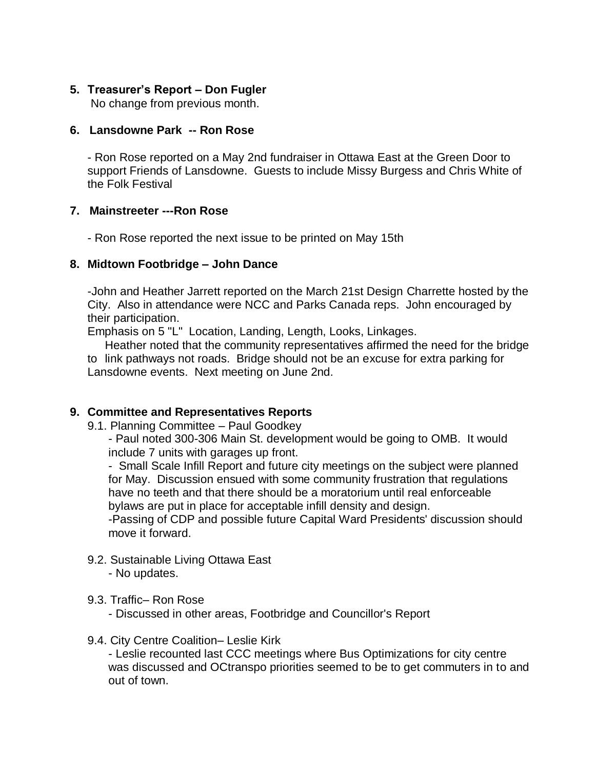# **5. Treasurer's Report – Don Fugler**

No change from previous month.

# **6. Lansdowne Park -- Ron Rose**

- Ron Rose reported on a May 2nd fundraiser in Ottawa East at the Green Door to support Friends of Lansdowne. Guests to include Missy Burgess and Chris White of the Folk Festival

# **7. Mainstreeter ---Ron Rose**

- Ron Rose reported the next issue to be printed on May 15th

# **8. Midtown Footbridge – John Dance**

-John and Heather Jarrett reported on the March 21st Design Charrette hosted by the City. Also in attendance were NCC and Parks Canada reps. John encouraged by their participation.

Emphasis on 5 "L" Location, Landing, Length, Looks, Linkages.

Heather noted that the community representatives affirmed the need for the bridge to link pathways not roads. Bridge should not be an excuse for extra parking for Lansdowne events. Next meeting on June 2nd.

# **9. Committee and Representatives Reports**

9.1. Planning Committee – Paul Goodkey

- Paul noted 300-306 Main St. development would be going to OMB. It would include 7 units with garages up front.

- Small Scale Infill Report and future city meetings on the subject were planned for May. Discussion ensued with some community frustration that regulations have no teeth and that there should be a moratorium until real enforceable bylaws are put in place for acceptable infill density and design.

-Passing of CDP and possible future Capital Ward Presidents' discussion should move it forward.

- 9.2. Sustainable Living Ottawa East - No updates.
- 9.3. Traffic– Ron Rose

- Discussed in other areas, Footbridge and Councillor's Report

9.4. City Centre Coalition– Leslie Kirk

- Leslie recounted last CCC meetings where Bus Optimizations for city centre was discussed and OCtranspo priorities seemed to be to get commuters in to and out of town.